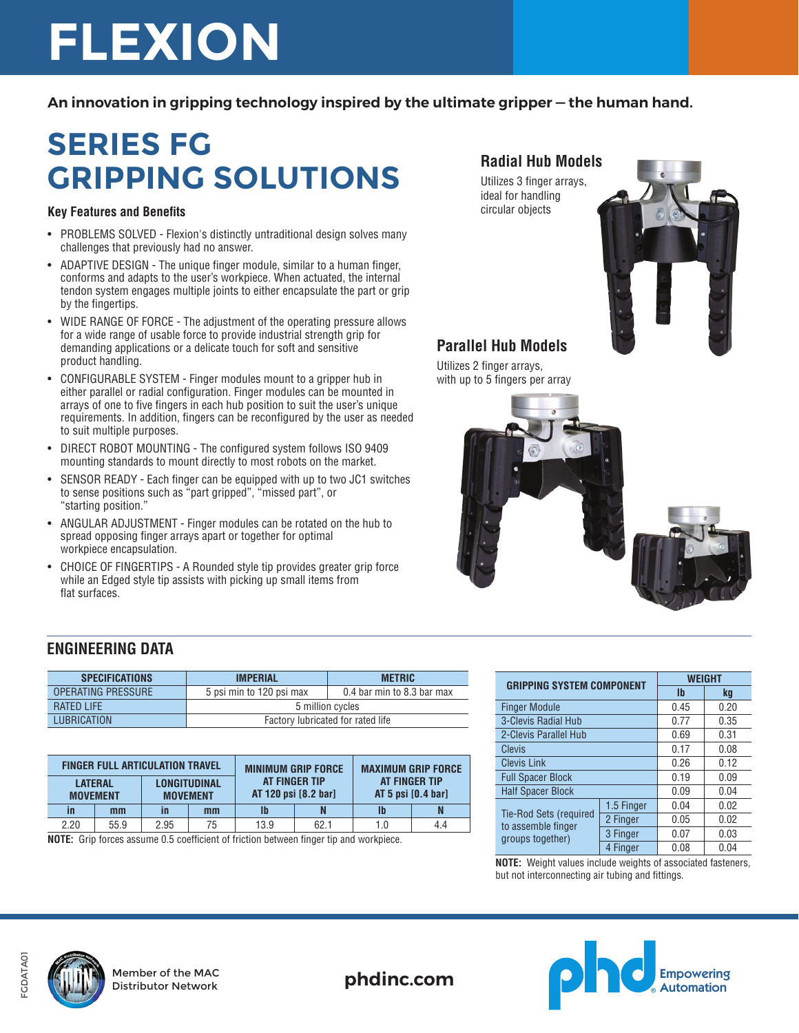# **FLEXION**

**An innovation in gripping technology inspired by the ultimate gripper — the human hand.** 

# **SERIES FG GRIPPING SOLUTIONS**

#### **Key Features and Benefits**

- PROBLEMS SOLVED Flexion's distinctly untraditional design solves many challenges that previously had no answer.
- ADAPTIVE DESIGN The unique finger module, similar to a human finger, conforms and adapts to the user's workpiece. When actuated, the internal tendon system engages multiple joints to either encapsulate the part or grip by the fingertips.
- WIDE RANGE OF FORCE The adjustment of the operating pressure allows for a wide range of usable force to provide industrial strength grip for demanding applications or a delicate touch for soft and sensitive product handling.
- CONFIGURABLE SYSTEM Finger modules mount to a gripper hub in either parallel or radial configuration. Finger modules can be mounted in arrays of one to five fingers in each hub position to suit the user's unique requirements. In addition, fingers can be reconfigured by the user as needed to suit multiple purposes.
- DIRECT ROBOT MOUNTING The configured system follows ISO 9409 mounting standards to mount directly to most robots on the market.
- SENSOR READY Each finger can be equipped with up to two JC1 switches to sense positions such as "part gripped", "missed part", or "starting position."
- ANGULAR ADJUSTMENT Finger modules can be rotated on the hub to spread opposing finger arrays apart or together for optimal workpiece encapsulation.
- CHOICE OF FINGERTIPS A Rounded style tip provides greater grip force while an Edged style tip assists with picking up small items from flat surfaces.

#### **Radial Hub Models**

Utilizes 3 finger arrays, ideal for handling circular objects



### **Parallel Hub Models**

Utilizes 2 finger arrays, with up to 5 fingers per array



#### **ENGINEERING DATA**

| <b>SPECIFICATIONS</b>     | <b>METRIC</b><br><b>IMPERIAL</b>  |                            |  |
|---------------------------|-----------------------------------|----------------------------|--|
| <b>OPERATING PRESSURE</b> | 5 psi min to 120 psi max          | 0.4 bar min to 8.3 bar max |  |
| <b>RATED LIFE</b>         | 5 million cycles                  |                            |  |
| LUBRICATION               | Factory lubricated for rated life |                            |  |

| <b>LONGITUDINAL</b><br><b>LATERAL</b> | AT FINGER TIP        |                                     |     |
|---------------------------------------|----------------------|-------------------------------------|-----|
| <b>MOVEMENT</b><br><b>MOVEMENT</b>    | AT 120 psi [8.2 bar] | AT FINGER TIP<br>AT 5 psi [0.4 bar] |     |
| mm<br>in<br>mm<br>in                  | N                    | lb                                  |     |
| 2.20<br>13.9<br>55.9<br>2.95<br>75    | 62.1                 | 1.0                                 | 4.4 |

**NOTE:** Grip forces assume 0.5 coefficient of friction between finger tip and workpiece.

| <b>GRIPPING SYSTEM COMPONENT</b>                                        |            | <b>WEIGHT</b> |      |
|-------------------------------------------------------------------------|------------|---------------|------|
|                                                                         |            | $\mathbf{I}$  | kq   |
| <b>Finger Module</b>                                                    |            | 0.45          | 0.20 |
| 3-Clevis Radial Hub                                                     |            | 0.77          | 0.35 |
| 2-Clevis Parallel Hub                                                   |            | 0.69          | 0.31 |
| <b>Clevis</b>                                                           |            | 0.17          | 0.08 |
| <b>Clevis Link</b>                                                      |            | 0.26          | 0.12 |
| <b>Full Spacer Block</b>                                                |            | 0.19          | 0.09 |
| <b>Half Spacer Block</b>                                                |            | 0.09          | 0.04 |
| <b>Tie-Rod Sets (required</b><br>to assemble finger<br>groups together) | 1.5 Finger | 0.04          | 0.02 |
|                                                                         | 2 Finger   | 0.05          | 0.02 |
|                                                                         | 3 Finger   | 0.07          | 0.03 |
|                                                                         | 4 Finger   | 0.08          | 0.04 |

**NOTE:** Weight values include weights of associated fasteners, but not interconnecting air tubing and fittings.





Member of the MAC

Distributor Network **phdinc.com**